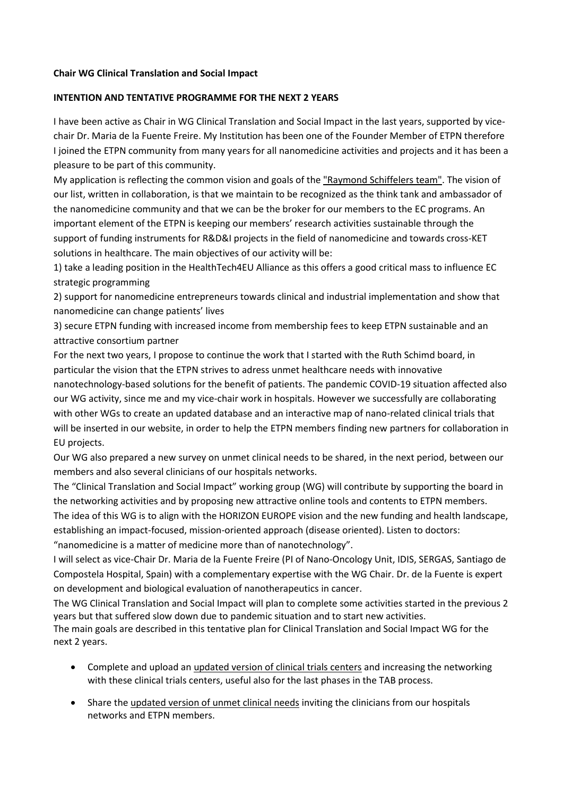## **Chair WG Clinical Translation and Social Impact**

## **INTENTION AND TENTATIVE PROGRAMME FOR THE NEXT 2 YEARS**

I have been active as Chair in WG Clinical Translation and Social Impact in the last years, supported by vicechair Dr. Maria de la Fuente Freire. My Institution has been one of the Founder Member of ETPN therefore I joined the ETPN community from many years for all nanomedicine activities and projects and it has been a pleasure to be part of this community.

My application is reflecting the common vision and goals of the "Raymond Schiffelers team". The vision of our list, written in collaboration, is that we maintain to be recognized as the think tank and ambassador of the nanomedicine community and that we can be the broker for our members to the EC programs. An important element of the ETPN is keeping our members' research activities sustainable through the support of funding instruments for R&D&I projects in the field of nanomedicine and towards cross-KET solutions in healthcare. The main objectives of our activity will be:

1) take a leading position in the HealthTech4EU Alliance as this offers a good critical mass to influence EC strategic programming

2) support for nanomedicine entrepreneurs towards clinical and industrial implementation and show that nanomedicine can change patients' lives

3) secure ETPN funding with increased income from membership fees to keep ETPN sustainable and an attractive consortium partner

For the next two years, I propose to continue the work that I started with the Ruth Schimd board, in particular the vision that the ETPN strives to adress unmet healthcare needs with innovative nanotechnology-based solutions for the benefit of patients. The pandemic COVID-19 situation affected also our WG activity, since me and my vice-chair work in hospitals. However we successfully are collaborating with other WGs to create an updated database and an interactive map of nano-related clinical trials that will be inserted in our website, in order to help the ETPN members finding new partners for collaboration in EU projects.

Our WG also prepared a new survey on unmet clinical needs to be shared, in the next period, between our members and also several clinicians of our hospitals networks.

The "Clinical Translation and Social Impact" working group (WG) will contribute by supporting the board in the networking activities and by proposing new attractive online tools and contents to ETPN members. The idea of this WG is to align with the HORIZON EUROPE vision and the new funding and health landscape, establishing an impact-focused, mission-oriented approach (disease oriented). Listen to doctors:

"nanomedicine is a matter of medicine more than of nanotechnology".

I will select as vice-Chair Dr. Maria de la Fuente Freire (PI of Nano-Oncology Unit, IDIS, SERGAS, Santiago de Compostela Hospital, Spain) with a complementary expertise with the WG Chair. Dr. de la Fuente is expert on development and biological evaluation of nanotherapeutics in cancer.

The WG Clinical Translation and Social Impact will plan to complete some activities started in the previous 2 years but that suffered slow down due to pandemic situation and to start new activities. The main goals are described in this tentative plan for Clinical Translation and Social Impact WG for the next 2 years.

- Complete and upload an updated version of clinical trials centers and increasing the networking with these clinical trials centers, useful also for the last phases in the TAB process.
- Share the updated version of unmet clinical needs inviting the clinicians from our hospitals networks and ETPN members.